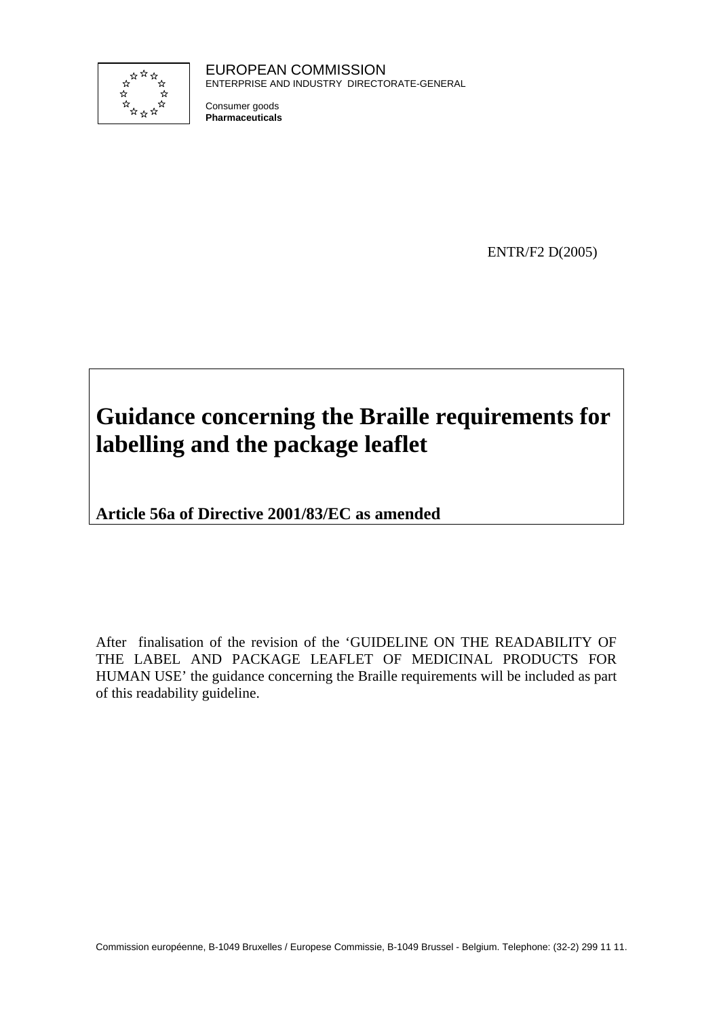

EUROPEAN COMMISSION ENTERPRISE AND INDUSTRY DIRECTORATE-GENERAL

Consumer goods **Pharmaceuticals**

ENTR/F2 D(2005)

# **Guidance concerning the Braille requirements for labelling and the package leaflet**

**Article 56a of Directive 2001/83/EC as amended** 

After finalisation of the revision of the 'GUIDELINE ON THE READABILITY OF THE LABEL AND PACKAGE LEAFLET OF MEDICINAL PRODUCTS FOR HUMAN USE' the guidance concerning the Braille requirements will be included as part of this readability guideline.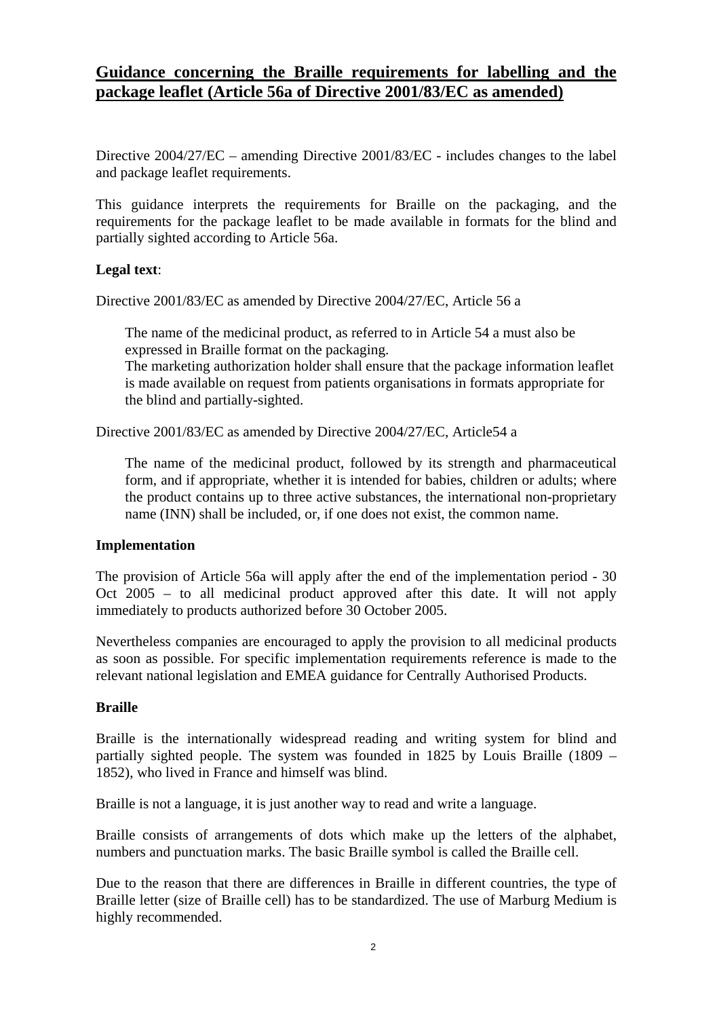# **Guidance concerning the Braille requirements for labelling and the package leaflet (Article 56a of Directive 2001/83/EC as amended)**

Directive 2004/27/EC – amending Directive 2001/83/EC - includes changes to the label and package leaflet requirements.

This guidance interprets the requirements for Braille on the packaging, and the requirements for the package leaflet to be made available in formats for the blind and partially sighted according to Article 56a.

#### **Legal text**:

Directive 2001/83/EC as amended by Directive 2004/27/EC, Article 56 a

The name of the medicinal product, as referred to in Article 54 a must also be expressed in Braille format on the packaging. The marketing authorization holder shall ensure that the package information leaflet

is made available on request from patients organisations in formats appropriate for the blind and partially-sighted.

Directive 2001/83/EC as amended by Directive 2004/27/EC, Article54 a

The name of the medicinal product, followed by its strength and pharmaceutical form, and if appropriate, whether it is intended for babies, children or adults; where the product contains up to three active substances, the international non-proprietary name (INN) shall be included, or, if one does not exist, the common name.

#### **Implementation**

The provision of Article 56a will apply after the end of the implementation period - 30 Oct 2005 – to all medicinal product approved after this date. It will not apply immediately to products authorized before 30 October 2005.

Nevertheless companies are encouraged to apply the provision to all medicinal products as soon as possible. For specific implementation requirements reference is made to the relevant national legislation and EMEA guidance for Centrally Authorised Products.

# **Braille**

Braille is the internationally widespread reading and writing system for blind and partially sighted people. The system was founded in 1825 by Louis Braille (1809 – 1852), who lived in France and himself was blind.

Braille is not a language, it is just another way to read and write a language.

Braille consists of arrangements of dots which make up the letters of the alphabet, numbers and punctuation marks. The basic Braille symbol is called the Braille cell.

Due to the reason that there are differences in Braille in different countries, the type of Braille letter (size of Braille cell) has to be standardized. The use of Marburg Medium is highly recommended.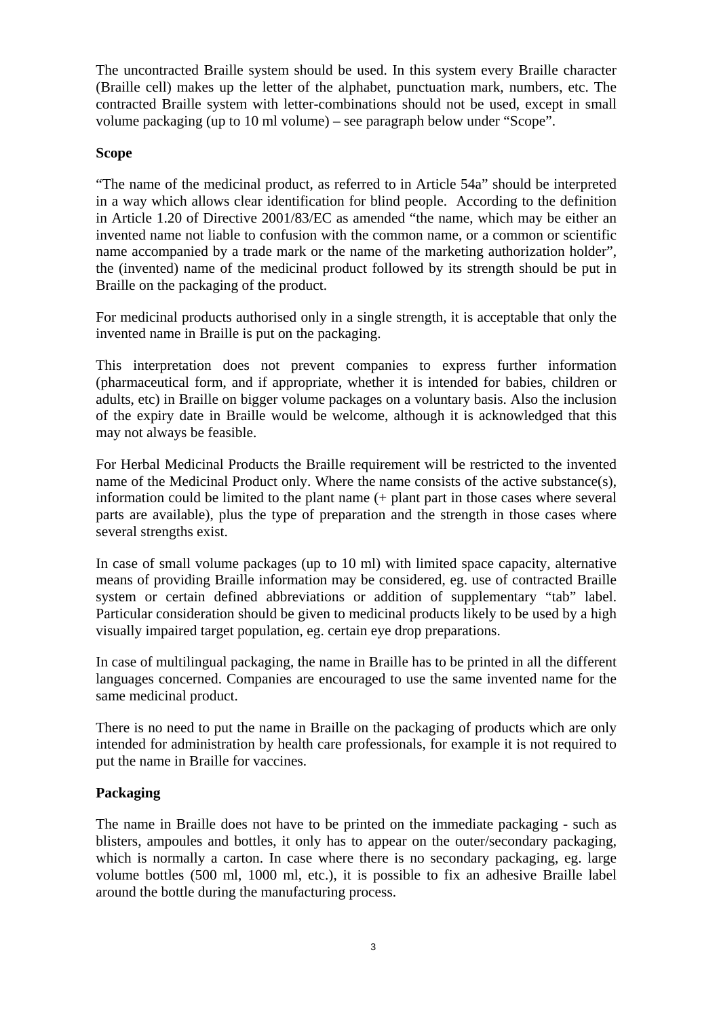The uncontracted Braille system should be used. In this system every Braille character (Braille cell) makes up the letter of the alphabet, punctuation mark, numbers, etc. The contracted Braille system with letter-combinations should not be used, except in small volume packaging (up to 10 ml volume) – see paragraph below under "Scope".

#### **Scope**

"The name of the medicinal product, as referred to in Article 54a" should be interpreted in a way which allows clear identification for blind people. According to the definition in Article 1.20 of Directive 2001/83/EC as amended "the name, which may be either an invented name not liable to confusion with the common name, or a common or scientific name accompanied by a trade mark or the name of the marketing authorization holder", the (invented) name of the medicinal product followed by its strength should be put in Braille on the packaging of the product.

For medicinal products authorised only in a single strength, it is acceptable that only the invented name in Braille is put on the packaging.

This interpretation does not prevent companies to express further information (pharmaceutical form, and if appropriate, whether it is intended for babies, children or adults, etc) in Braille on bigger volume packages on a voluntary basis. Also the inclusion of the expiry date in Braille would be welcome, although it is acknowledged that this may not always be feasible.

For Herbal Medicinal Products the Braille requirement will be restricted to the invented name of the Medicinal Product only. Where the name consists of the active substance(s), information could be limited to the plant name (+ plant part in those cases where several parts are available), plus the type of preparation and the strength in those cases where several strengths exist.

In case of small volume packages (up to 10 ml) with limited space capacity, alternative means of providing Braille information may be considered, eg. use of contracted Braille system or certain defined abbreviations or addition of supplementary "tab" label. Particular consideration should be given to medicinal products likely to be used by a high visually impaired target population, eg. certain eye drop preparations.

In case of multilingual packaging, the name in Braille has to be printed in all the different languages concerned. Companies are encouraged to use the same invented name for the same medicinal product.

There is no need to put the name in Braille on the packaging of products which are only intended for administration by health care professionals, for example it is not required to put the name in Braille for vaccines.

# **Packaging**

The name in Braille does not have to be printed on the immediate packaging - such as blisters, ampoules and bottles, it only has to appear on the outer/secondary packaging, which is normally a carton. In case where there is no secondary packaging, eg. large volume bottles (500 ml, 1000 ml, etc.), it is possible to fix an adhesive Braille label around the bottle during the manufacturing process.